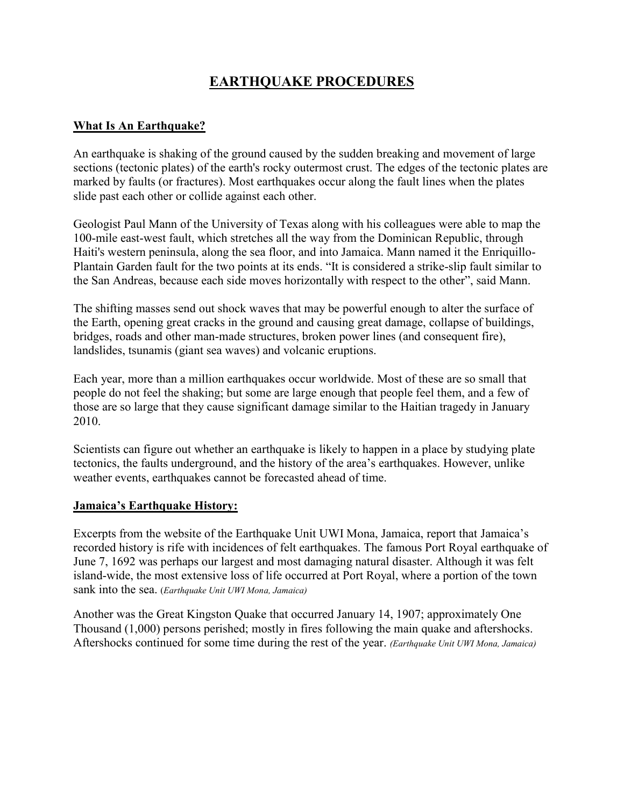# **EARTHQUAKE PROCEDURES**

## **What Is An Earthquake?**

An earthquake is shaking of the ground caused by the sudden breaking and movement of large sections (tectonic plates) of the earth's rocky outermost crust. The edges of the tectonic plates are marked by faults (or fractures). Most earthquakes occur along the fault lines when the plates slide past each other or collide against each other.

Geologist Paul Mann of the University of Texas along with his colleagues were able to map the 100-mile east-west fault, which stretches all the way from the Dominican Republic, through Haiti's western peninsula, along the sea floor, and into Jamaica. Mann named it the Enriquillo-Plantain Garden fault for the two points at its ends. "It is considered a strike-slip fault similar to the San Andreas, because each side moves horizontally with respect to the other", said Mann.

The shifting masses send out shock waves that may be powerful enough to alter the surface of the Earth, opening great cracks in the ground and causing great damage, collapse of buildings, bridges, roads and other man-made structures, broken power lines (and consequent fire), landslides, tsunamis (giant sea waves) and volcanic eruptions.

Each year, more than a million earthquakes occur worldwide. Most of these are so small that people do not feel the shaking; but some are large enough that people feel them, and a few of those are so large that they cause significant damage similar to the Haitian tragedy in January 2010.

Scientists can figure out whether an earthquake is likely to happen in a place by studying plate tectonics, the faults underground, and the history of the area's earthquakes. However, unlike weather events, earthquakes cannot be forecasted ahead of time.

#### **Jamaica's Earthquake History:**

Excerpts from the website of the Earthquake Unit UWI Mona, Jamaica, report that Jamaica's recorded history is rife with incidences of felt earthquakes. The famous Port Royal earthquake of June 7, 1692 was perhaps our largest and most damaging natural disaster. Although it was felt island-wide, the most extensive loss of life occurred at Port Royal, where a portion of the town sank into the sea. (*Earthquake Unit UWI Mona, Jamaica)*

Another was the Great Kingston Quake that occurred January 14, 1907; approximately One Thousand (1,000) persons perished; mostly in fires following the main quake and aftershocks. Aftershocks continued for some time during the rest of the year. *(Earthquake Unit UWI Mona, Jamaica)*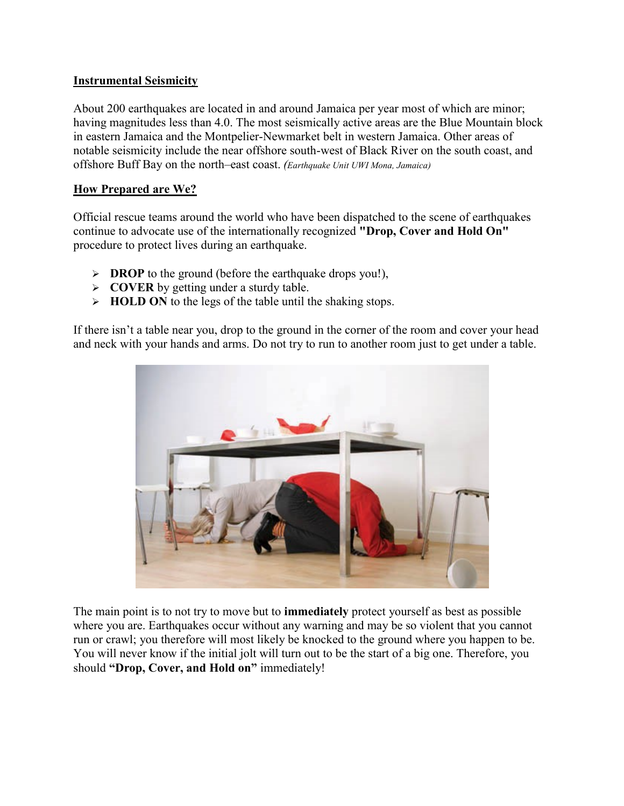## **Instrumental Seismicity**

About 200 earthquakes are located in and around Jamaica per year most of which are minor; having magnitudes less than 4.0. The most seismically active areas are the Blue Mountain block in eastern Jamaica and the Montpelier-Newmarket belt in western Jamaica. Other areas of notable seismicity include the near offshore south-west of Black River on the south coast, and offshore Buff Bay on the north–east coast. *(Earthquake Unit UWI Mona, Jamaica)*

## **How Prepared are We?**

Official rescue teams around the world who have been dispatched to the scene of earthquakes continue to advocate use of the internationally recognized **"Drop, Cover and Hold On"** procedure to protect lives during an earthquake.

- **DROP** to the ground (before the earthquake drops you!),
- **COVER** by getting under a sturdy table.
- **HOLD ON** to the legs of the table until the shaking stops.

If there isn't a table near you, drop to the ground in the corner of the room and cover your head and neck with your hands and arms. Do not try to run to another room just to get under a table.



The main point is to not try to move but to **immediately** protect yourself as best as possible where you are. Earthquakes occur without any warning and may be so violent that you cannot run or crawl; you therefore will most likely be knocked to the ground where you happen to be. You will never know if the initial jolt will turn out to be the start of a big one. Therefore, you should **"Drop, Cover, and Hold on"** immediately!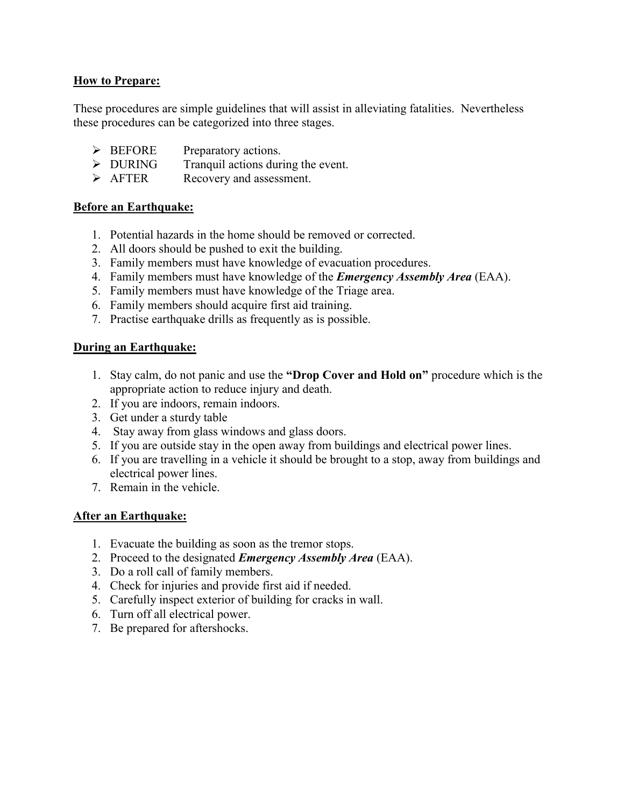## **How to Prepare:**

These procedures are simple guidelines that will assist in alleviating fatalities. Nevertheless these procedures can be categorized into three stages.

- EXPERIE Preparatory actions.
- $\triangleright$  DURING Tranquil actions during the event.
- $\triangleright$  AFTER Recovery and assessment.

#### **Before an Earthquake:**

- 1. Potential hazards in the home should be removed or corrected.
- 2. All doors should be pushed to exit the building.
- 3. Family members must have knowledge of evacuation procedures.
- 4. Family members must have knowledge of the *Emergency Assembly Area* (EAA).
- 5. Family members must have knowledge of the Triage area.
- 6. Family members should acquire first aid training.
- 7. Practise earthquake drills as frequently as is possible.

#### **During an Earthquake:**

- 1. Stay calm, do not panic and use the **"Drop Cover and Hold on"** procedure which is the appropriate action to reduce injury and death.
- 2. If you are indoors, remain indoors.
- 3. Get under a sturdy table
- 4. Stay away from glass windows and glass doors.
- 5. If you are outside stay in the open away from buildings and electrical power lines.
- 6. If you are travelling in a vehicle it should be brought to a stop, away from buildings and electrical power lines.
- 7. Remain in the vehicle.

#### **After an Earthquake:**

- 1. Evacuate the building as soon as the tremor stops.
- 2. Proceed to the designated *Emergency Assembly Area* (EAA).
- 3. Do a roll call of family members.
- 4. Check for injuries and provide first aid if needed.
- 5. Carefully inspect exterior of building for cracks in wall.
- 6. Turn off all electrical power.
- 7. Be prepared for aftershocks.